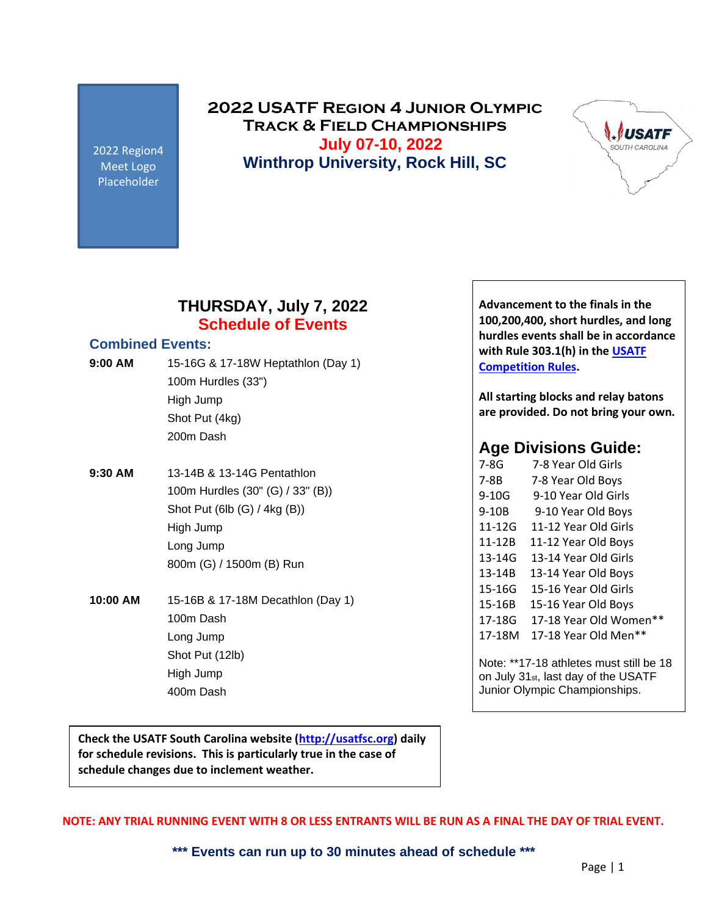2022 Region4 Meet Logo Placeholder

**2022 USATF Region 4 Junior Olympic Track & Field Championships July 07-10, 2022 Winthrop University, Rock Hill, SC**



### **THURSDAY, July 7, 2022 Schedule of Events**

### **Combined Events:**

- **9:00 AM** 15-16G & 17-18W Heptathlon (Day 1) 100m Hurdles (33") High Jump Shot Put (4kg) 200m Dash
- **9:30 AM** 13-14B & 13-14G Pentathlon 100m Hurdles (30" (G) / 33" (B)) Shot Put (6lb (G) / 4kg (B)) High Jump Long Jump 800m (G) / 1500m (B) Run

**10:00 AM** 15-16B & 17-18M Decathlon (Day 1) 100m Dash Long Jump Shot Put (12lb) High Jump 400m Dash

**Advancement to the finals in the 100,200,400, short hurdles, and long hurdles events shall be in accordance with Rule 303.1(h) in th[e USATF](http://www.usatf.org/About/Competition-Rules/USATF_Rules_2019_10Jan.aspx)  [Competition Rules.](http://www.usatf.org/About/Competition-Rules/USATF_Rules_2019_10Jan.aspx)**

**All starting blocks and relay batons are provided. Do not bring your own.** 

### **Age Divisions Guide:**

| 7-8G   | 7-8 Year Old Girls                      |
|--------|-----------------------------------------|
| 7-8B   | 7-8 Year Old Boys                       |
| 9-10G  | 9-10 Year Old Girls                     |
| 9-10B  | 9-10 Year Old Boys                      |
| 11-12G | 11-12 Year Old Girls                    |
| 11-12B | 11-12 Year Old Boys                     |
| 13-14G | 13-14 Year Old Girls                    |
| 13-14B | 13-14 Year Old Boys                     |
| 15-16G | 15-16 Year Old Girls                    |
| 15-16B | 15-16 Year Old Boys                     |
| 17-18G | 17-18 Year Old Women**                  |
| 17-18M | 17-18 Year Old Men**                    |
|        | Note: **17-18 athletes must still be 18 |

on July 31st, last day of the USATF Junior Olympic Championships.

**Check the USATF South Carolina website [\(http://usatfsc.org\)](http://usatfsc.org/) daily for schedule revisions. This is particularly true in the case of schedule changes due to inclement weather.**

**NOTE: ANY TRIAL RUNNING EVENT WITH 8 OR LESS ENTRANTS WILL BE RUN AS A FINAL THE DAY OF TRIAL EVENT.**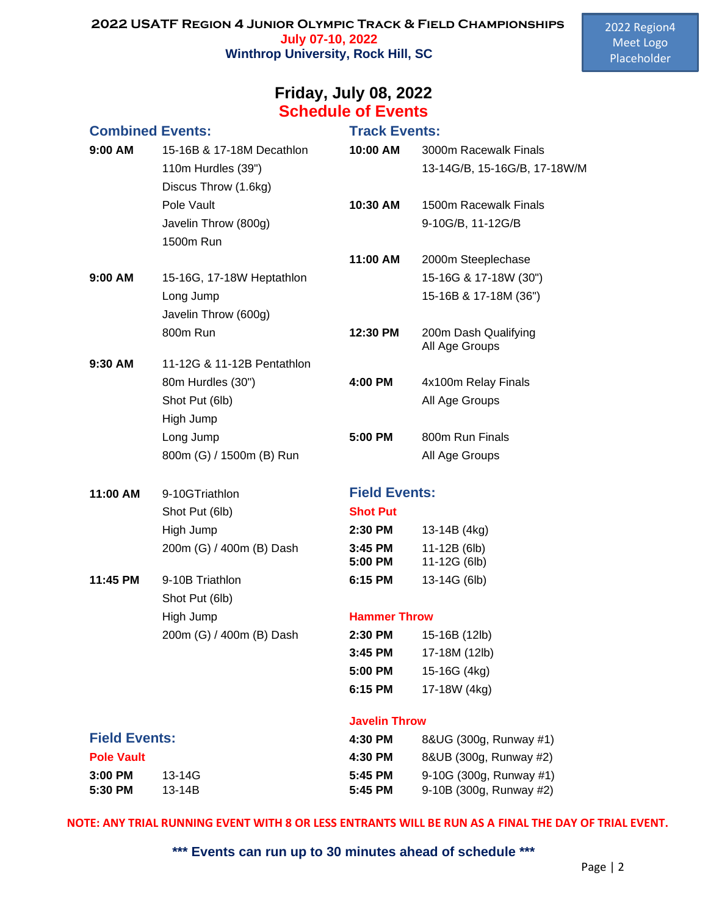## **Friday, July 08, 2022 Schedule of Events**

| <b>Combined Events:</b> |                            | <b>Track Events:</b> |                                        |
|-------------------------|----------------------------|----------------------|----------------------------------------|
| 9:00 AM                 | 15-16B & 17-18M Decathlon  | 10:00 AM             | 3000m Racewalk Finals                  |
|                         | 110m Hurdles (39")         |                      | 13-14G/B, 15-16G/B, 17-18W/M           |
|                         | Discus Throw (1.6kg)       |                      |                                        |
|                         | Pole Vault                 | 10:30 AM             | 1500m Racewalk Finals                  |
|                         | Javelin Throw (800g)       |                      | 9-10G/B, 11-12G/B                      |
|                         | 1500m Run                  |                      |                                        |
|                         |                            | 11:00 AM             | 2000m Steeplechase                     |
| $9:00$ AM               | 15-16G, 17-18W Heptathlon  |                      | 15-16G & 17-18W (30")                  |
|                         | Long Jump                  |                      | 15-16B & 17-18M (36")                  |
|                         | Javelin Throw (600g)       |                      |                                        |
|                         | 800m Run                   | 12:30 PM             | 200m Dash Qualifying<br>All Age Groups |
| 9:30 AM                 | 11-12G & 11-12B Pentathlon |                      |                                        |
|                         | 80m Hurdles (30")          | 4:00 PM              | 4x100m Relay Finals                    |
|                         | Shot Put (6lb)             |                      | All Age Groups                         |
|                         | High Jump                  |                      |                                        |
|                         | Long Jump                  | 5:00 PM              | 800m Run Finals                        |
|                         | 800m (G) / 1500m (B) Run   |                      | All Age Groups                         |
|                         |                            |                      |                                        |
|                         |                            | <b>Field Events:</b> |                                        |
| 11:00 AM                | 9-10GTriathlon             |                      |                                        |
|                         | Shot Put (6lb)             | <b>Shot Put</b>      |                                        |
|                         | High Jump                  | 2:30 PM              | 13-14B (4kg)                           |
|                         | 200m (G) / 400m (B) Dash   | $3:45$ PM            | 11-12B (6lb)                           |
|                         |                            | 5:00 PM              | 11-12G (6lb)                           |
| 11:45 PM                | 9-10B Triathlon            | 6:15 PM              | 13-14G (6lb)                           |
|                         | Shot Put (6lb)             |                      |                                        |
|                         | High Jump                  | <b>Hammer Throw</b>  |                                        |
|                         | 200m (G) / 400m (B) Dash   | 2:30 PM              | 15-16B (12lb)                          |
|                         |                            | 3:45 PM              | 17-18M (12lb)                          |
|                         |                            | 5:00 PM              | 15-16G (4kg)                           |
|                         |                            | 6:15 PM              | 17-18W (4kg)                           |
|                         |                            | <b>Javelin Throw</b> |                                        |
| <b>Field Events:</b>    |                            | 4:30 PM              | 8&UG (300g, Runway #1)                 |
| <b>Pole Vault</b>       |                            | 4:30 PM              | 8&UB (300g, Runway #2)                 |
| 3:00 PM                 | 13-14G                     | 5:45 PM              | 9-10G (300g, Runway #1)                |

### **NOTE: ANY TRIAL RUNNING EVENT WITH 8 OR LESS ENTRANTS WILL BE RUN AS A FINAL THE DAY OF TRIAL EVENT.**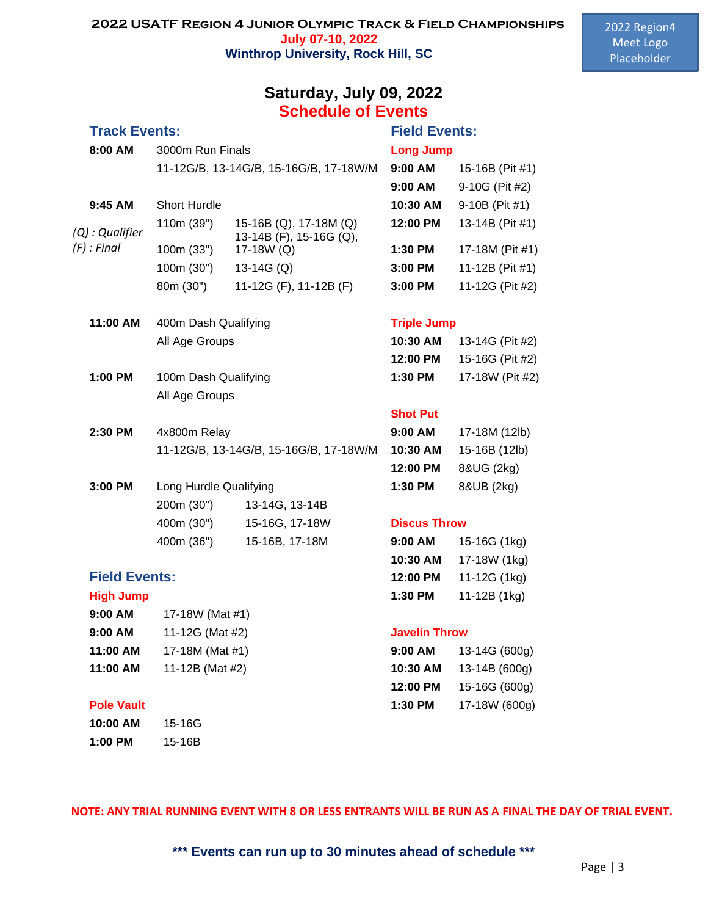## **Schedule of Events Track Events: Field Events: 8:00 AM** 3000m Run Finals **Long Jump** 11-12G/B, 13-14G/B, 15-16G/B, 17-18W/M **9:00 AM** 15-16B (Pit #1) **9:45 AM** Short Hurdle **10:30 AM** 9-10B (Pit #1) 110m (39") 15-16B (Q), 17-18M (Q) **12:00 PM** 13-14B (Pit #1) 100m (33") 13-14B (F), 15-16G (Q), 17-18W (Q) **1:30 PM** 17-18M (Pit #1) 100m (30") 13-14G (Q) **3:00 PM** 11-12B (Pit #1) 80m (30") 11-12G (F), 11-12B (F) **3:00 PM** 11-12G (Pit #2) **11:00 AM** 400m Dash Qualifying **Triple Jump All Age Groups 1:00 PM** 100m Dash Qualifying All Age Groups **Shot Put 2:30 PM** 4x800m Relay 11-12G/B, 13-14G/B, 15-16G/B, 17-18W/M **3:00 PM** Long Hurdle Qualifying 200m (30") 13-14G, 13-14B 400m (30") 15-16G, 17-18W **Discus Throw** 400m (36") 15-16B, 17-18M **Field Events: High Jump 9:00 AM** 17-18W (Mat #1) **9:00 AM** 11-12G (Mat #2) **Javelin Throw 11:00 AM** 17-18M (Mat #1) **11:00 AM** 11-12B (Mat #2) *(Q) : Qualifier (F) : Final*

### **Pole Vault**

| 10:00 AM | 15-16G |
|----------|--------|
| 1:00 PM  | 15-16B |

# **Saturday, July 09, 2022**

# **9:00 AM** 9-10G (Pit #2)

| 10:30 AM | 13-14G (Pit #2) |
|----------|-----------------|
| 12:00 PM | 15-16G (Pit #2) |
| 1:30 PM  | 17-18W (Pit #2) |

| $9:00$ AM | 17-18M (12lb) |
|-----------|---------------|
| 10:30 AM  | 15-16B (12lb) |
| 12:00 PM  | 8&UG (2kg)    |
| $1:30$ PM | 8&UB (2kg)    |

| $9:00$ AM | 15-16G (1kg) |
|-----------|--------------|
| 10:30 AM  | 17-18W (1kg) |
| 12:00 PM  | 11-12G (1kg) |
| 1:30 PM   | 11-12B (1kg) |

| 9:00 AM  | 13-14G (600g) |
|----------|---------------|
| 10:30 AM | 13-14B (600g) |
| 12:00 PM | 15-16G (600g) |
| 1:30 PM  | 17-18W (600g) |

**NOTE: ANY TRIAL RUNNING EVENT WITH 8 OR LESS ENTRANTS WILL BE RUN AS A FINAL THE DAY OF TRIAL EVENT.**